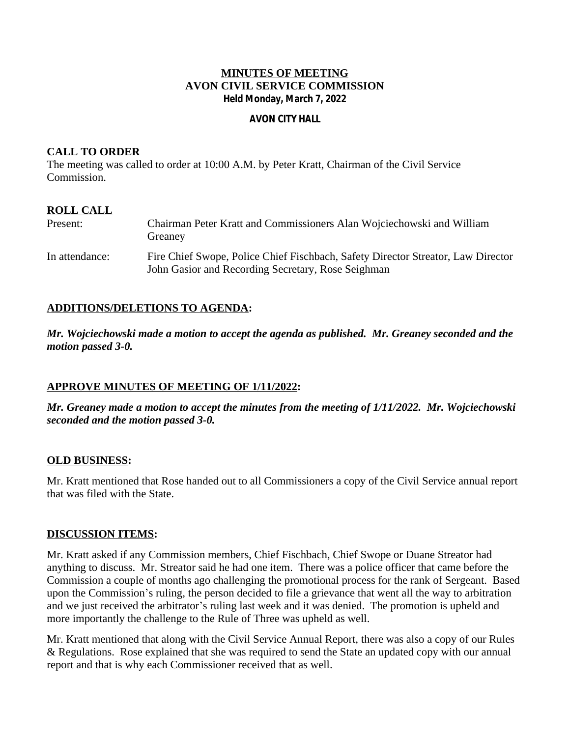## **MINUTES OF MEETING AVON CIVIL SERVICE COMMISSION Held Monday, March 7, 2022**

#### **AVON CITY HALL**

## **CALL TO ORDER**

The meeting was called to order at 10:00 A.M. by Peter Kratt, Chairman of the Civil Service Commission.

# **ROLL CALL**

| Present:       | Chairman Peter Kratt and Commissioners Alan Wojciechowski and William<br>Greaney                                                       |
|----------------|----------------------------------------------------------------------------------------------------------------------------------------|
| In attendance: | Fire Chief Swope, Police Chief Fischbach, Safety Director Streator, Law Director<br>John Gasior and Recording Secretary, Rose Seighman |

## **ADDITIONS/DELETIONS TO AGENDA:**

*Mr. Wojciechowski made a motion to accept the agenda as published. Mr. Greaney seconded and the motion passed 3-0.*

## **APPROVE MINUTES OF MEETING OF 1/11/2022:**

*Mr. Greaney made a motion to accept the minutes from the meeting of 1/11/2022. Mr. Wojciechowski seconded and the motion passed 3-0.*

## **OLD BUSINESS:**

Mr. Kratt mentioned that Rose handed out to all Commissioners a copy of the Civil Service annual report that was filed with the State.

## **DISCUSSION ITEMS:**

Mr. Kratt asked if any Commission members, Chief Fischbach, Chief Swope or Duane Streator had anything to discuss. Mr. Streator said he had one item. There was a police officer that came before the Commission a couple of months ago challenging the promotional process for the rank of Sergeant. Based upon the Commission's ruling, the person decided to file a grievance that went all the way to arbitration and we just received the arbitrator's ruling last week and it was denied. The promotion is upheld and more importantly the challenge to the Rule of Three was upheld as well.

Mr. Kratt mentioned that along with the Civil Service Annual Report, there was also a copy of our Rules & Regulations. Rose explained that she was required to send the State an updated copy with our annual report and that is why each Commissioner received that as well.